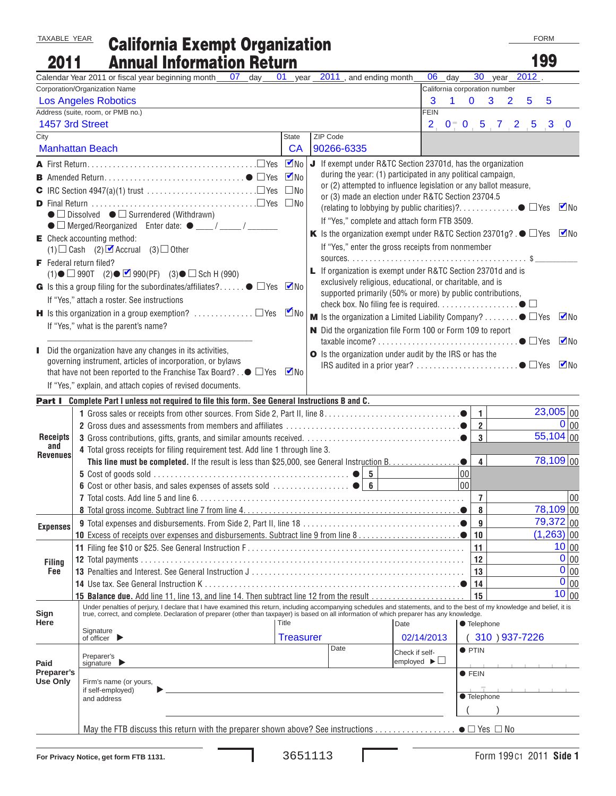TAXABLE YEAR

## California Exempt Organization Annual Information Return

FORM

| 2011                                                                                                                      | <b>Annual Information Return</b>                                                                                                                                           |                  |                                                                                                  |                                                                  |                                     |             |                                |                   |          | 199 |                           |
|---------------------------------------------------------------------------------------------------------------------------|----------------------------------------------------------------------------------------------------------------------------------------------------------------------------|------------------|--------------------------------------------------------------------------------------------------|------------------------------------------------------------------|-------------------------------------|-------------|--------------------------------|-------------------|----------|-----|---------------------------|
|                                                                                                                           | Calendar Year 2011 or fiscal year beginning month 07 day                                                                                                                   | $01$ year        | 2011, and ending month                                                                           |                                                                  | 06                                  | day         | 30                             | $_$ year          | $2012$ . |     |                           |
|                                                                                                                           | Corporation/Organization Name                                                                                                                                              |                  |                                                                                                  |                                                                  | California corporation number       |             |                                |                   |          |     |                           |
|                                                                                                                           | <b>Los Angeles Robotics</b>                                                                                                                                                |                  |                                                                                                  |                                                                  | 3                                   | $\mathbf 1$ | $\mathbf{0}$<br>3 <sup>1</sup> | $\overline{2}$    | 5        | 5   |                           |
|                                                                                                                           | Address (suite, room, or PMB no.)                                                                                                                                          |                  |                                                                                                  |                                                                  | <b>FEIN</b>                         |             |                                |                   |          |     |                           |
|                                                                                                                           | 1457 3rd Street                                                                                                                                                            |                  |                                                                                                  |                                                                  |                                     |             |                                | $2$ 0 0 5 7 2 5 3 |          |     | $\bf{0}$                  |
| City                                                                                                                      |                                                                                                                                                                            | State            | ZIP Code                                                                                         |                                                                  |                                     |             |                                |                   |          |     |                           |
|                                                                                                                           | <b>Manhattan Beach</b>                                                                                                                                                     | CA               | 90266-6335                                                                                       |                                                                  |                                     |             |                                |                   |          |     |                           |
|                                                                                                                           |                                                                                                                                                                            | $\n  W$          | J If exempt under R&TC Section 23701d, has the organization                                      |                                                                  |                                     |             |                                |                   |          |     |                           |
|                                                                                                                           |                                                                                                                                                                            | $\nabla$ No      |                                                                                                  | during the year: (1) participated in any political campaign,     |                                     |             |                                |                   |          |     |                           |
|                                                                                                                           | <b>C</b> IRC Section 4947(a)(1) trust $\dots \dots \dots \dots \dots \dots \dots \dots \dots$                                                                              | $\square$ No     |                                                                                                  | or (2) attempted to influence legislation or any ballot measure, |                                     |             |                                |                   |          |     |                           |
|                                                                                                                           |                                                                                                                                                                            |                  |                                                                                                  | or (3) made an election under R&TC Section 23704.5               |                                     |             |                                |                   |          |     | $\nabla$ No               |
| $\bullet$ $\square$ Dissolved $\bullet$ $\square$ Surrendered (Withdrawn)<br>If "Yes," complete and attach form FTB 3509. |                                                                                                                                                                            |                  |                                                                                                  |                                                                  |                                     |             |                                |                   |          |     |                           |
|                                                                                                                           |                                                                                                                                                                            |                  | K Is the organization exempt under R&TC Section 23701g? . $\bullet$ $\Box$ Yes $\blacksquare$ No |                                                                  |                                     |             |                                |                   |          |     |                           |
| $\mathsf{E}$ Check accounting method:                                                                                     |                                                                                                                                                                            |                  |                                                                                                  |                                                                  |                                     |             |                                |                   |          |     |                           |
| If "Yes," enter the gross receipts from nonmember<br>(1) $\Box$ Cash (2) $\Box$ Accrual (3) $\Box$ Other                  |                                                                                                                                                                            |                  |                                                                                                  |                                                                  |                                     |             |                                |                   |          |     |                           |
|                                                                                                                           | F Federal return filed?<br>L If organization is exempt under R&TC Section 23701d and is                                                                                    |                  |                                                                                                  |                                                                  |                                     |             |                                |                   |          |     |                           |
|                                                                                                                           | $(1)$ $\bullet$ $\Box$ 990T $(2)$ $\bullet$ $\Box$ 990(PF) $(3)$ $\bullet$ $\Box$ Sch H (990)                                                                              |                  |                                                                                                  | exclusively religious, educational, or charitable, and is        |                                     |             |                                |                   |          |     |                           |
|                                                                                                                           | G Is this a group filing for the subordinates/affiliates? $\bullet$ $\square$ Yes $\square$ No                                                                             |                  |                                                                                                  | supported primarily (50% or more) by public contributions,       |                                     |             |                                |                   |          |     |                           |
|                                                                                                                           | If "Yes," attach a roster. See instructions                                                                                                                                |                  |                                                                                                  |                                                                  |                                     |             |                                |                   |          |     |                           |
|                                                                                                                           | H Is this organization in a group exemption?  □ Yes ■ No                                                                                                                   |                  | <b>M</b> Is the organization a Limited Liability Company? $\bullet$ $\square$ Yes                |                                                                  |                                     |             |                                |                   |          |     | $\n  M$                   |
|                                                                                                                           | If "Yes," what is the parent's name?<br>N Did the organization file Form 100 or Form 109 to report                                                                         |                  |                                                                                                  |                                                                  |                                     |             |                                |                   |          |     |                           |
|                                                                                                                           |                                                                                                                                                                            |                  |                                                                                                  |                                                                  |                                     |             |                                |                   |          |     | $\n  W$                   |
|                                                                                                                           | Did the organization have any changes in its activities,                                                                                                                   |                  | O Is the organization under audit by the IRS or has the                                          |                                                                  |                                     |             |                                |                   |          |     |                           |
|                                                                                                                           | governing instrument, articles of incorporation, or bylaws                                                                                                                 |                  |                                                                                                  |                                                                  |                                     |             |                                |                   |          |     | $\n  M$                   |
|                                                                                                                           | that have not been reported to the Franchise Tax Board? . $\bullet$ $\Box$ Yes $\blacksquare$ No                                                                           |                  |                                                                                                  |                                                                  |                                     |             |                                |                   |          |     |                           |
|                                                                                                                           | If "Yes," explain, and attach copies of revised documents.                                                                                                                 |                  |                                                                                                  |                                                                  |                                     |             |                                |                   |          |     |                           |
|                                                                                                                           | <b>Part I</b> Complete Part I unless not required to file this form. See General Instructions B and C.                                                                     |                  |                                                                                                  |                                                                  |                                     |             |                                |                   |          |     |                           |
|                                                                                                                           |                                                                                                                                                                            |                  |                                                                                                  |                                                                  |                                     |             | 1                              |                   |          |     | $\overline{23,005} _{00}$ |
|                                                                                                                           |                                                                                                                                                                            |                  |                                                                                                  |                                                                  |                                     |             | $\overline{2}$                 |                   |          |     | 0 00                      |
| <b>Receipts</b>                                                                                                           |                                                                                                                                                                            |                  |                                                                                                  |                                                                  |                                     |             | 3                              |                   |          |     | 55,104 00                 |
| and<br><b>Revenues</b>                                                                                                    | 4 Total gross receipts for filing requirement test. Add line 1 through line 3.                                                                                             |                  |                                                                                                  |                                                                  |                                     |             |                                |                   |          |     |                           |
|                                                                                                                           |                                                                                                                                                                            |                  |                                                                                                  |                                                                  |                                     |             | $\overline{\mathbf{4}}$        |                   |          |     | $78,109$ 00               |
|                                                                                                                           |                                                                                                                                                                            |                  |                                                                                                  |                                                                  |                                     | 00          |                                |                   |          |     |                           |
|                                                                                                                           |                                                                                                                                                                            |                  |                                                                                                  |                                                                  |                                     | 00          |                                |                   |          |     |                           |
|                                                                                                                           |                                                                                                                                                                            |                  |                                                                                                  |                                                                  |                                     |             | $\overline{7}$                 |                   |          |     | 00                        |
|                                                                                                                           |                                                                                                                                                                            |                  |                                                                                                  |                                                                  |                                     |             | 8                              |                   |          |     | $78,109$ 00               |
| <b>Expenses</b>                                                                                                           |                                                                                                                                                                            |                  |                                                                                                  |                                                                  |                                     |             | 9                              |                   |          |     | 79,372 00                 |
|                                                                                                                           |                                                                                                                                                                            |                  |                                                                                                  |                                                                  |                                     |             | 10                             |                   |          |     | $(1,263)$ 00              |
|                                                                                                                           |                                                                                                                                                                            |                  |                                                                                                  |                                                                  |                                     |             | 11                             |                   |          |     | 10 00                     |
| <b>Filing</b>                                                                                                             |                                                                                                                                                                            |                  |                                                                                                  |                                                                  |                                     |             | 12                             |                   |          |     | 0 00<br>$0 _{00}$         |
| Fee                                                                                                                       |                                                                                                                                                                            |                  |                                                                                                  |                                                                  |                                     |             | 13                             |                   |          |     | $\overline{O}$   00       |
|                                                                                                                           | <b>14</b> Use tax. See General Instruction K<br>15 Balance due. Add line 11, line 13, and line 14. Then subtract line 12 from the result                                   |                  |                                                                                                  |                                                                  |                                     |             | 14<br>15                       |                   |          |     | $10 _{00}$                |
|                                                                                                                           | Under penalties of perjury, I declare that I have examined this return, including accompanying schedules and statements, and to the best of my knowledge and belief, it is |                  |                                                                                                  |                                                                  |                                     |             |                                |                   |          |     |                           |
| Sign<br>Here                                                                                                              | true, correct, and complete. Declaration of preparer (other than taxpayer) is based on all information of which preparer has any knowledge.                                |                  |                                                                                                  |                                                                  |                                     |             |                                |                   |          |     |                           |
|                                                                                                                           | Signature                                                                                                                                                                  | Title            |                                                                                                  | Date                                                             |                                     |             | ● Telephone                    |                   |          |     |                           |
|                                                                                                                           | of officer $\blacktriangleright$                                                                                                                                           | <b>Treasurer</b> |                                                                                                  |                                                                  | 02/14/2013                          |             |                                | 310 ) 937-7226    |          |     |                           |
|                                                                                                                           | Preparer's                                                                                                                                                                 |                  | Date                                                                                             | Check if self-                                                   |                                     |             | $\bullet$ PTIN                 |                   |          |     |                           |
| Paid                                                                                                                      | signature $\blacktriangleright$                                                                                                                                            |                  |                                                                                                  |                                                                  | employed $\blacktriangleright \Box$ |             |                                |                   |          |     |                           |
| Preparer's<br><b>Use Only</b>                                                                                             | Firm's name (or yours,                                                                                                                                                     |                  |                                                                                                  |                                                                  |                                     |             | $\bullet$ FEIN                 |                   |          |     |                           |
|                                                                                                                           | if self-employed)                                                                                                                                                          |                  |                                                                                                  |                                                                  |                                     |             |                                |                   |          |     |                           |
|                                                                                                                           | and address                                                                                                                                                                |                  |                                                                                                  |                                                                  |                                     | ● Telephone |                                |                   |          |     |                           |
|                                                                                                                           |                                                                                                                                                                            |                  |                                                                                                  |                                                                  |                                     |             |                                |                   |          |     |                           |
|                                                                                                                           |                                                                                                                                                                            |                  |                                                                                                  |                                                                  |                                     |             |                                |                   |          |     |                           |
|                                                                                                                           |                                                                                                                                                                            |                  |                                                                                                  |                                                                  |                                     |             |                                |                   |          |     |                           |

L